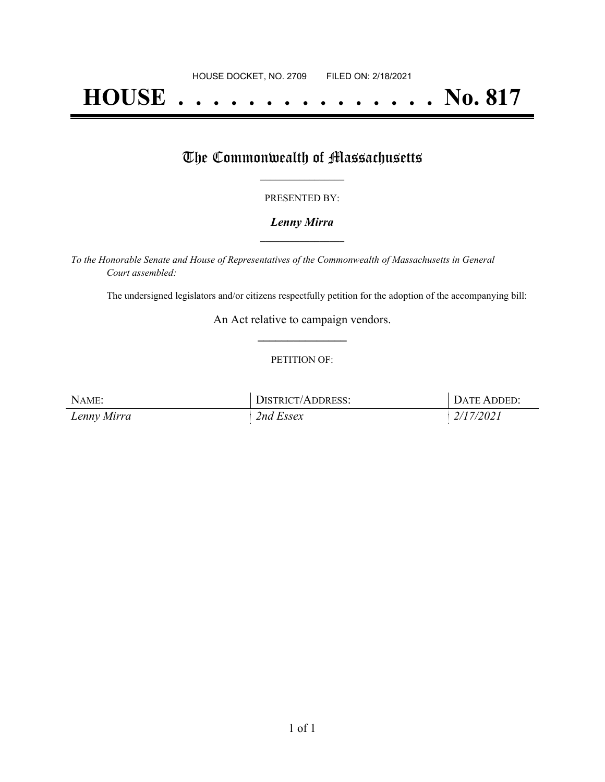# **HOUSE . . . . . . . . . . . . . . . No. 817**

## The Commonwealth of Massachusetts

#### PRESENTED BY:

#### *Lenny Mirra* **\_\_\_\_\_\_\_\_\_\_\_\_\_\_\_\_\_**

*To the Honorable Senate and House of Representatives of the Commonwealth of Massachusetts in General Court assembled:*

The undersigned legislators and/or citizens respectfully petition for the adoption of the accompanying bill:

An Act relative to campaign vendors. **\_\_\_\_\_\_\_\_\_\_\_\_\_\_\_**

#### PETITION OF:

| NAME:       | DISTRICT/ADDRESS: | DATE ADDED: |
|-------------|-------------------|-------------|
| Lenny Mirra | 2nd Essex         | 2/17/2021   |